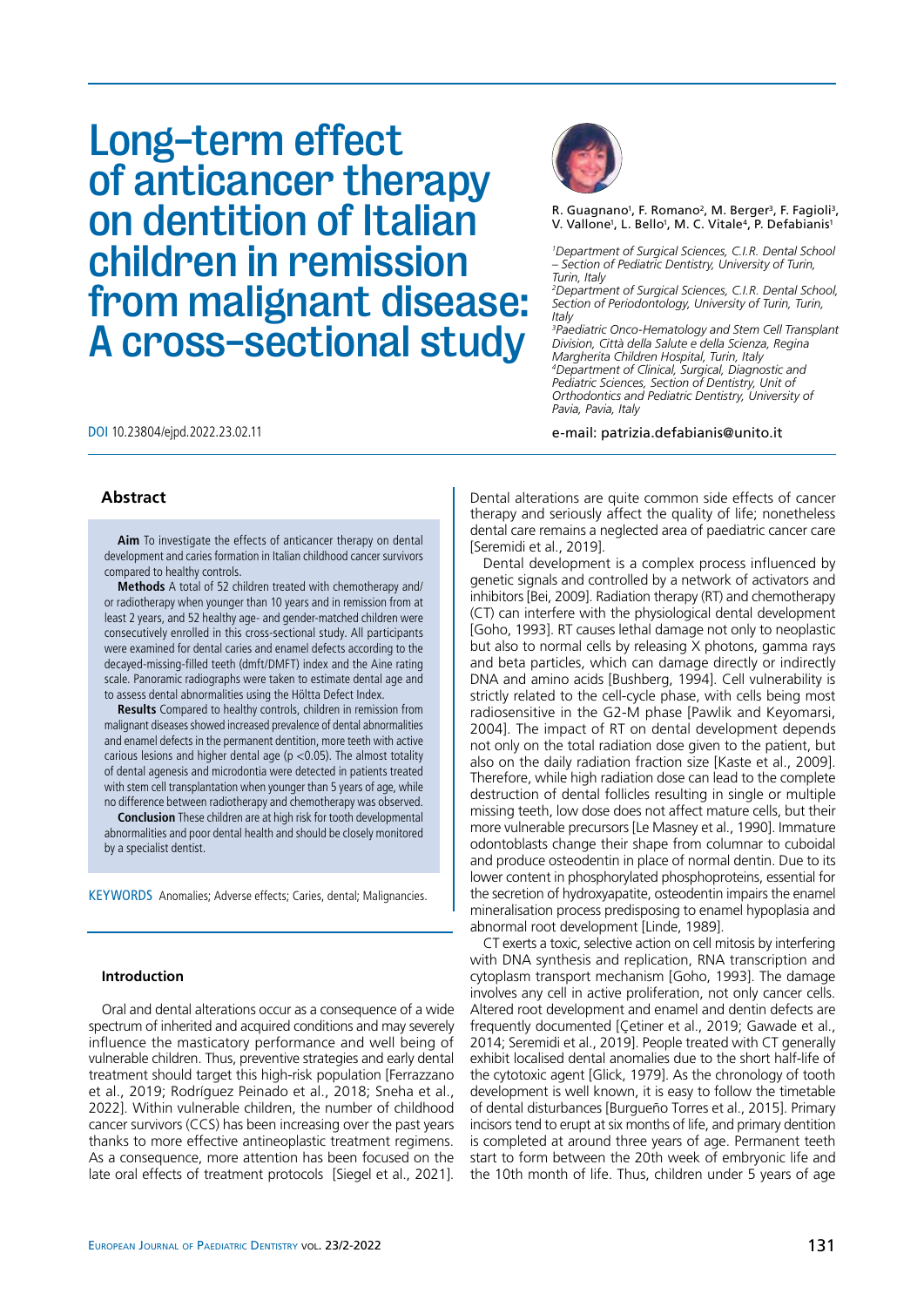# Long-term effect of anticancer therapy on dentition of Italian children in remission from malignant disease: A cross-sectional study





R. Guagnano<sup>1</sup>, F. Romano<sup>2</sup>, M. Berger<sup>3</sup>, F. Fagioli<sup>3</sup>, V. Vallone<sup>1</sup>, L. Bello<sup>1</sup>, M. C. Vitale<sup>4</sup>, P. Defabianis<sup>1</sup>

*1 Department of Surgical Sciences, C.I.R. Dental School – Section of Pediatric Dentistry, University of Turin, Turin, Italy*

*2 Department of Surgical Sciences, C.I.R. Dental School, Section of Periodontology, University of Turin, Turin, Italy*

*3 Paediatric Onco-Hematology and Stem Cell Transplant Division, Città della Salute e della Scienza, Regina Margherita Children Hospital, Turin, Italy 4 Department of Clinical, Surgical, Diagnostic and Pediatric Sciences, Section of Dentistry, Unit of Orthodontics and Pediatric Dentistry, University of Pavia, Pavia, Italy*

e-mail: patrizia.defabianis@unito.it

## **Abstract**

**Aim** To investigate the effects of anticancer therapy on dental development and caries formation in Italian childhood cancer survivors compared to healthy controls.

**Methods** A total of 52 children treated with chemotherapy and/ or radiotherapy when younger than 10 years and in remission from at least 2 years, and 52 healthy age- and gender-matched children were consecutively enrolled in this cross-sectional study. All participants were examined for dental caries and enamel defects according to the decayed-missing-filled teeth (dmft/DMFT) index and the Aine rating scale. Panoramic radiographs were taken to estimate dental age and to assess dental abnormalities using the Höltta Defect Index.

**Results** Compared to healthy controls, children in remission from malignant diseases showed increased prevalence of dental abnormalities and enamel defects in the permanent dentition, more teeth with active carious lesions and higher dental age ( $p$  <0.05). The almost totality of dental agenesis and microdontia were detected in patients treated with stem cell transplantation when younger than 5 years of age, while no difference between radiotherapy and chemotherapy was observed.

**Conclusion** These children are at high risk for tooth developmental abnormalities and poor dental health and should be closely monitored by a specialist dentist.

KEYWORDS Anomalies; Adverse effects; Caries, dental; Malignancies.

## **Introduction**

Oral and dental alterations occur as a consequence of a wide spectrum of inherited and acquired conditions and may severely influence the masticatory performance and well being of vulnerable children. Thus, preventive strategies and early dental treatment should target this high-risk population [Ferrazzano et al., 2019; Rodríguez Peinado et al., 2018; Sneha et al., 2022]. Within vulnerable children, the number of childhood cancer survivors (CCS) has been increasing over the past years thanks to more effective antineoplastic treatment regimens. As a consequence, more attention has been focused on the late oral effects of treatment protocols [Siegel et al., 2021].

Dental alterations are quite common side effects of cancer therapy and seriously affect the quality of life; nonetheless dental care remains a neglected area of paediatric cancer care [Seremidi et al., 2019].

Dental development is a complex process influenced by genetic signals and controlled by a network of activators and inhibitors [Bei, 2009]. Radiation therapy (RT) and chemotherapy (CT) can interfere with the physiological dental development [Goho, 1993]. RT causes lethal damage not only to neoplastic but also to normal cells by releasing X photons, gamma rays and beta particles, which can damage directly or indirectly DNA and amino acids [Bushberg, 1994]. Cell vulnerability is strictly related to the cell-cycle phase, with cells being most radiosensitive in the G2-M phase [Pawlik and Keyomarsi, 2004]. The impact of RT on dental development depends not only on the total radiation dose given to the patient, but also on the daily radiation fraction size [Kaste et al., 2009]. Therefore, while high radiation dose can lead to the complete destruction of dental follicles resulting in single or multiple missing teeth, low dose does not affect mature cells, but their more vulnerable precursors [Le Masney et al., 1990]. Immature odontoblasts change their shape from columnar to cuboidal and produce osteodentin in place of normal dentin. Due to its lower content in phosphorylated phosphoproteins, essential for the secretion of hydroxyapatite, osteodentin impairs the enamel mineralisation process predisposing to enamel hypoplasia and abnormal root development [Linde, 1989].

CT exerts a toxic, selective action on cell mitosis by interfering with DNA synthesis and replication, RNA transcription and cytoplasm transport mechanism [Goho, 1993]. The damage involves any cell in active proliferation, not only cancer cells. Altered root development and enamel and dentin defects are frequently documented [Çetiner et al., 2019; Gawade et al., 2014; Seremidi et al., 2019]. People treated with CT generally exhibit localised dental anomalies due to the short half-life of the cytotoxic agent [Glick, 1979]. As the chronology of tooth development is well known, it is easy to follow the timetable of dental disturbances [Burgueño Torres et al., 2015]. Primary incisors tend to erupt at six months of life, and primary dentition is completed at around three years of age. Permanent teeth start to form between the 20th week of embryonic life and the 10th month of life. Thus, children under 5 years of age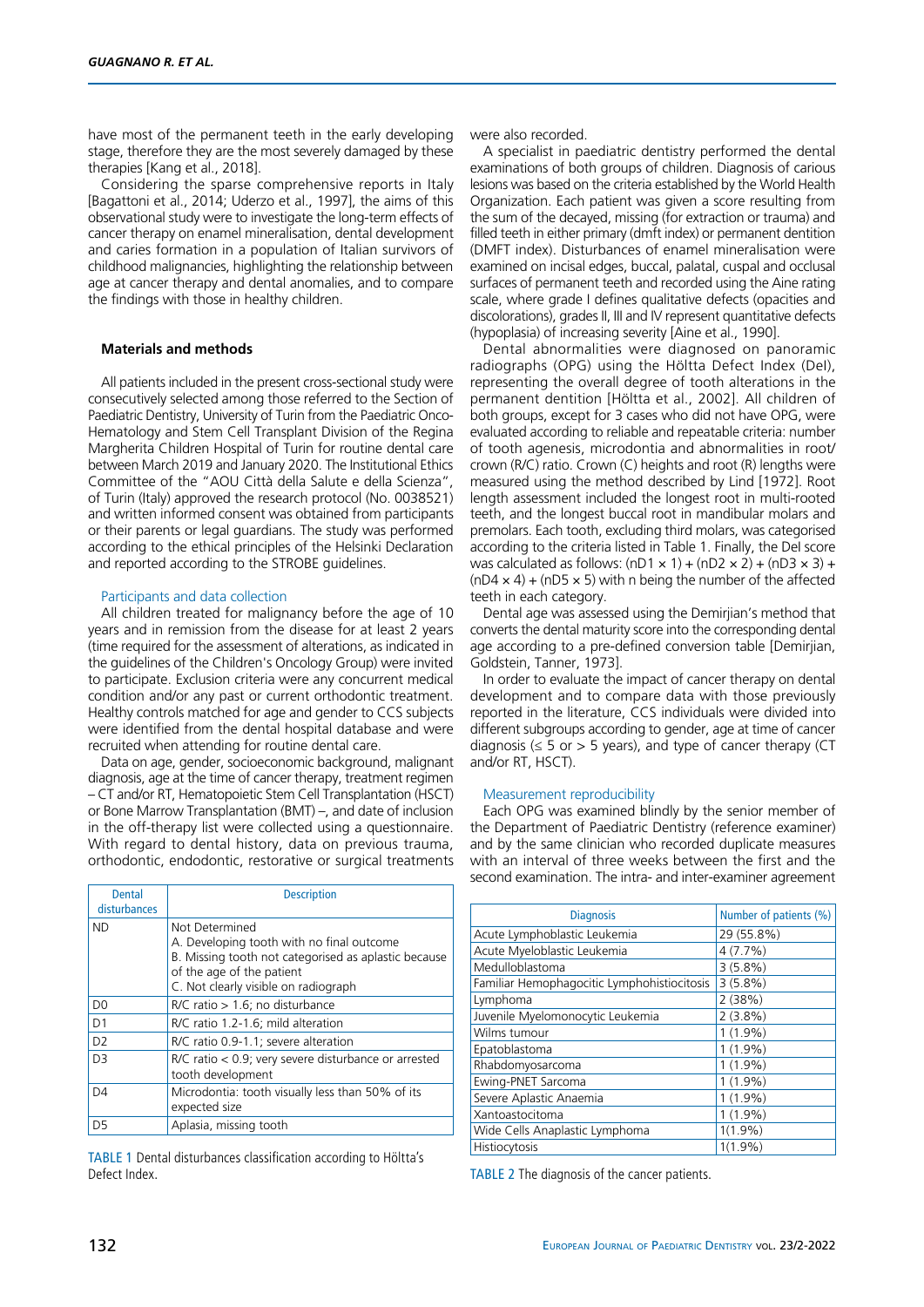have most of the permanent teeth in the early developing stage, therefore they are the most severely damaged by these therapies [Kang et al., 2018].

Considering the sparse comprehensive reports in Italy [Bagattoni et al., 2014; Uderzo et al., 1997], the aims of this observational study were to investigate the long-term effects of cancer therapy on enamel mineralisation, dental development and caries formation in a population of Italian survivors of childhood malignancies, highlighting the relationship between age at cancer therapy and dental anomalies, and to compare the findings with those in healthy children.

## **Materials and methods**

All patients included in the present cross-sectional study were consecutively selected among those referred to the Section of Paediatric Dentistry, University of Turin from the Paediatric Onco-Hematology and Stem Cell Transplant Division of the Regina Margherita Children Hospital of Turin for routine dental care between March 2019 and January 2020. The Institutional Ethics Committee of the "AOU Città della Salute e della Scienza", of Turin (Italy) approved the research protocol (No. 0038521) and written informed consent was obtained from participants or their parents or legal guardians. The study was performed according to the ethical principles of the Helsinki Declaration and reported according to the STROBE guidelines.

#### Participants and data collection

All children treated for malignancy before the age of 10 years and in remission from the disease for at least 2 years (time required for the assessment of alterations, as indicated in the guidelines of the Children's Oncology Group) were invited to participate. Exclusion criteria were any concurrent medical condition and/or any past or current orthodontic treatment. Healthy controls matched for age and gender to CCS subjects were identified from the dental hospital database and were recruited when attending for routine dental care.

Data on age, gender, socioeconomic background, malignant diagnosis, age at the time of cancer therapy, treatment regimen – CT and/or RT, Hematopoietic Stem Cell Transplantation (HSCT) or Bone Marrow Transplantation (BMT) –, and date of inclusion in the off-therapy list were collected using a questionnaire. With regard to dental history, data on previous trauma, orthodontic, endodontic, restorative or surgical treatments

| <b>Dental</b>  | <b>Description</b>                                                                                                                                                                       |
|----------------|------------------------------------------------------------------------------------------------------------------------------------------------------------------------------------------|
| disturbances   |                                                                                                                                                                                          |
| <b>ND</b>      | Not Determined<br>A. Developing tooth with no final outcome<br>B. Missing tooth not categorised as aplastic because<br>of the age of the patient<br>C. Not clearly visible on radiograph |
| D <sub>0</sub> | $R/C$ ratio $> 1.6$ ; no disturbance                                                                                                                                                     |
| D <sub>1</sub> | R/C ratio 1.2-1.6; mild alteration                                                                                                                                                       |
| D <sub>2</sub> | R/C ratio 0.9-1.1; severe alteration                                                                                                                                                     |
| D <sub>3</sub> | $R/C$ ratio $<$ 0.9; very severe disturbance or arrested<br>tooth development                                                                                                            |
| D <sub>4</sub> | Microdontia: tooth visually less than 50% of its<br>expected size                                                                                                                        |
| D <sub>5</sub> | Aplasia, missing tooth                                                                                                                                                                   |

TABLE 1 Dental disturbances classification according to Höltta's Defect Index.

were also recorded.

A specialist in paediatric dentistry performed the dental examinations of both groups of children. Diagnosis of carious lesions was based on the criteria established by the World Health Organization. Each patient was given a score resulting from the sum of the decayed, missing (for extraction or trauma) and filled teeth in either primary (dmft index) or permanent dentition (DMFT index). Disturbances of enamel mineralisation were examined on incisal edges, buccal, palatal, cuspal and occlusal surfaces of permanent teeth and recorded using the Aine rating scale, where grade I defines qualitative defects (opacities and discolorations), grades II, III and IV represent quantitative defects (hypoplasia) of increasing severity [Aine et al., 1990].

Dental abnormalities were diagnosed on panoramic radiographs (OPG) using the Höltta Defect Index (DeI), representing the overall degree of tooth alterations in the permanent dentition [Höltta et al., 2002]. All children of both groups, except for 3 cases who did not have OPG, were evaluated according to reliable and repeatable criteria: number of tooth agenesis, microdontia and abnormalities in root/ crown (R/C) ratio. Crown (C) heights and root (R) lengths were measured using the method described by Lind [1972]. Root length assessment included the longest root in multi-rooted teeth, and the longest buccal root in mandibular molars and premolars. Each tooth, excluding third molars, was categorised according to the criteria listed in Table 1. Finally, the DeI score was calculated as follows:  $(nD1 \times 1) + (nD2 \times 2) + (nD3 \times 3) +$  $(nD4 \times 4) + (nD5 \times 5)$  with n being the number of the affected teeth in each category.

Dental age was assessed using the Demirjian's method that converts the dental maturity score into the corresponding dental age according to a pre-defined conversion table [Demirjian, Goldstein, Tanner, 1973].

In order to evaluate the impact of cancer therapy on dental development and to compare data with those previously reported in the literature, CCS individuals were divided into different subgroups according to gender, age at time of cancer diagnosis ( $\leq$  5 or > 5 years), and type of cancer therapy (CT and/or RT, HSCT).

#### Measurement reproducibility

Each OPG was examined blindly by the senior member of the Department of Paediatric Dentistry (reference examiner) and by the same clinician who recorded duplicate measures with an interval of three weeks between the first and the second examination. The intra- and inter-examiner agreement

| <b>Diagnosis</b>                            | Number of patients (%) |
|---------------------------------------------|------------------------|
| Acute Lymphoblastic Leukemia                | 29 (55.8%)             |
| Acute Myeloblastic Leukemia                 | 4(7.7%)                |
| Medulloblastoma                             | $3(5.8\%)$             |
| Familiar Hemophagocitic Lymphohistiocitosis | 3(5.8%)                |
| Lymphoma                                    | 2(38%)                 |
| Juvenile Myelomonocytic Leukemia            | 2(3.8%)                |
| Wilms tumour                                | $1(1.9\%)$             |
| Epatoblastoma                               | $1(1.9\%)$             |
| Rhabdomyosarcoma                            | $1(1.9\%)$             |
| Ewing-PNET Sarcoma                          | $1(1.9\%)$             |
| Severe Aplastic Anaemia                     | $1(1.9\%)$             |
| Xantoastocitoma                             | $1(1.9\%)$             |
| Wide Cells Anaplastic Lymphoma              | $1(1.9\%)$             |
| Histiocytosis                               | $1(1.9\%)$             |

TABLE 2 The diagnosis of the cancer patients.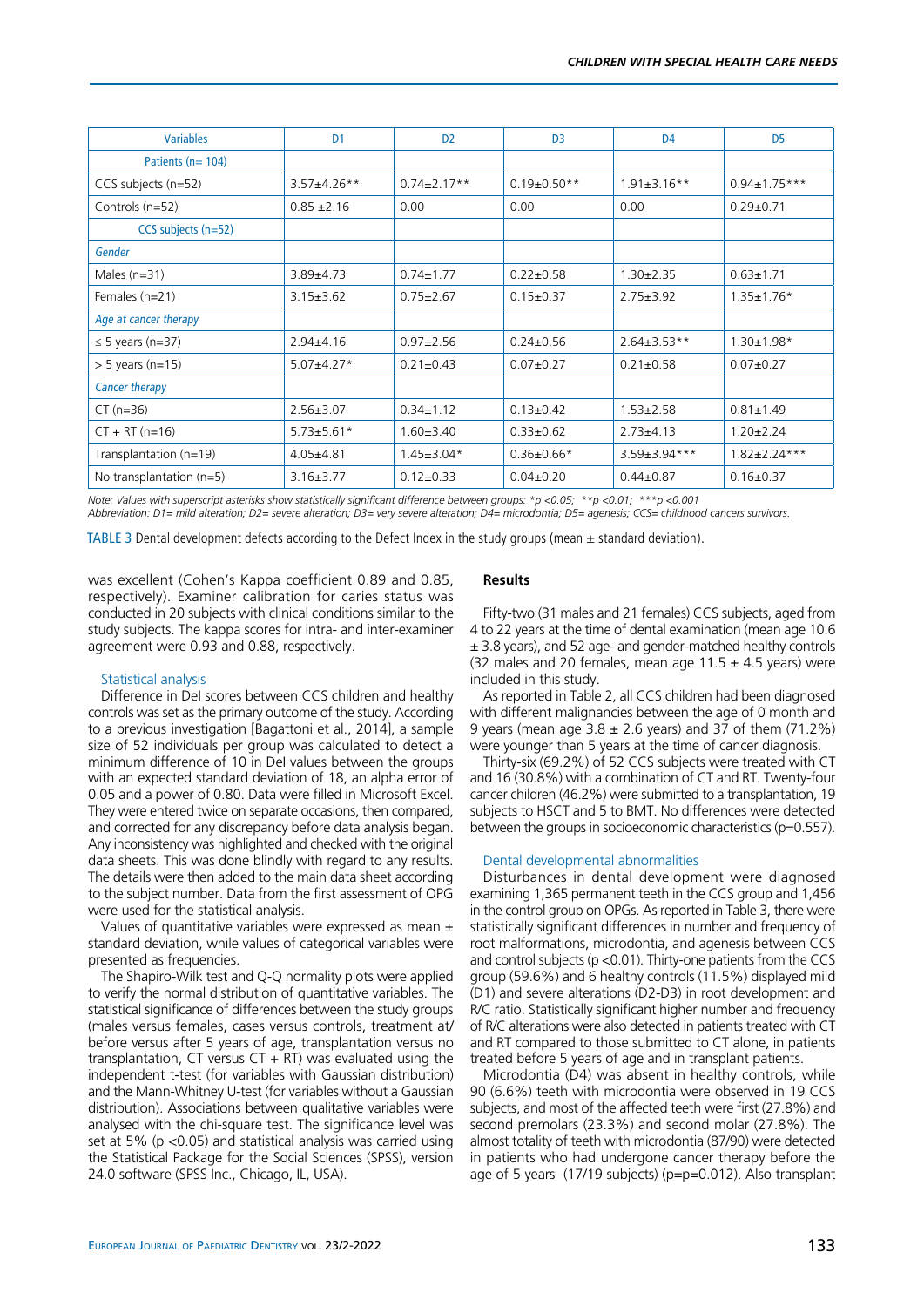| <b>Variables</b>           | D <sub>1</sub>     | D <sub>2</sub>    | D <sub>3</sub>    | D <sub>4</sub>      | D <sub>5</sub>      |
|----------------------------|--------------------|-------------------|-------------------|---------------------|---------------------|
| Patients ( $n = 104$ )     |                    |                   |                   |                     |                     |
| CCS subjects (n=52)        | $3.57 \pm 4.26$ ** | $0.74 \pm 2.17**$ | $0.19 \pm 0.50**$ | $1.91 \pm 3.16$ **  | $0.94 \pm 1.75***$  |
| Controls (n=52)            | $0.85 \pm 2.16$    | 0.00              | 0.00              | 0.00                | $0.29 + 0.71$       |
| $CCS$ subjects $(n=52)$    |                    |                   |                   |                     |                     |
| <b>Gender</b>              |                    |                   |                   |                     |                     |
| Males $(n=31)$             | $3.89{\pm}4.73$    | $0.74 \pm 1.77$   | $0.22 \pm 0.58$   | $1.30 \pm 2.35$     | $0.63 \pm 1.71$     |
| Females (n=21)             | $3.15 \pm 3.62$    | $0.75 \pm 2.67$   | $0.15 \pm 0.37$   | $2.75 \pm 3.92$     | $1.35 \pm 1.76*$    |
| Age at cancer therapy      |                    |                   |                   |                     |                     |
| $\leq$ 5 years (n=37)      | $2.94 \pm 4.16$    | $0.97 \pm 2.56$   | $0.24 \pm 0.56$   | $2.64 \pm 3.53**$   | $1.30 \pm 1.98*$    |
| $> 5$ years (n=15)         | $5.07 \pm 4.27$ *  | $0.21 \pm 0.43$   | $0.07 + 0.27$     | $0.21 \pm 0.58$     | $0.07 + 0.27$       |
| Cancer therapy             |                    |                   |                   |                     |                     |
| $CT (n=36)$                | $2.56 \pm 3.07$    | $0.34 \pm 1.12$   | $0.13 \pm 0.42$   | $1.53 \pm 2.58$     | $0.81 \pm 1.49$     |
| $CT + RT (n=16)$           | $5.73 \pm 5.61*$   | $1.60 \pm 3.40$   | $0.33 \pm 0.62$   | $2.73 + 4.13$       | $1.20 \pm 2.24$     |
| Transplantation (n=19)     | $4.05 + 4.81$      | $1.45 \pm 3.04*$  | $0.36 \pm 0.66*$  | $3.59 \pm 3.94$ *** | $1.82 \pm 2.24$ *** |
| No transplantation $(n=5)$ | $3.16 \pm 3.77$    | $0.12 \pm 0.33$   | $0.04 \pm 0.20$   | $0.44 \pm 0.87$     | $0.16 \pm 0.37$     |

*Note: Values with superscript asterisks show statistically significant difference between groups: \*p <0.05; \*\*p <0.01; \*\*\*p <0.001 Abbreviation: D1= mild alteration; D2= severe alteration; D3= very severe alteration; D4= microdontia; D5= agenesis; CCS= childhood cancers survivors.*

TABLE 3 Dental development defects according to the Defect Index in the study groups (mean  $\pm$  standard deviation).

was excellent (Cohen's Kappa coefficient 0.89 and 0.85, respectively). Examiner calibration for caries status was conducted in 20 subjects with clinical conditions similar to the study subjects. The kappa scores for intra- and inter-examiner agreement were 0.93 and 0.88, respectively.

## Statistical analysis

Difference in DeI scores between CCS children and healthy controls was set as the primary outcome of the study. According to a previous investigation [Bagattoni et al., 2014], a sample size of 52 individuals per group was calculated to detect a minimum difference of 10 in DeI values between the groups with an expected standard deviation of 18, an alpha error of 0.05 and a power of 0.80. Data were filled in Microsoft Excel. They were entered twice on separate occasions, then compared, and corrected for any discrepancy before data analysis began. Any inconsistency was highlighted and checked with the original data sheets. This was done blindly with regard to any results. The details were then added to the main data sheet according to the subject number. Data from the first assessment of OPG were used for the statistical analysis.

Values of quantitative variables were expressed as mean  $\pm$ standard deviation, while values of categorical variables were presented as frequencies.

The Shapiro-Wilk test and Q-Q normality plots were applied to verify the normal distribution of quantitative variables. The statistical significance of differences between the study groups (males versus females, cases versus controls, treatment at/ before versus after 5 years of age, transplantation versus no transplantation, CT versus  $CT + RT$ ) was evaluated using the independent t-test (for variables with Gaussian distribution) and the Mann-Whitney U-test (for variables without a Gaussian distribution). Associations between qualitative variables were analysed with the chi-square test. The significance level was set at 5% (p <0.05) and statistical analysis was carried using the Statistical Package for the Social Sciences (SPSS), version 24.0 software (SPSS Inc., Chicago, IL, USA).

## **Results**

Fifty-two (31 males and 21 females) CCS subjects, aged from 4 to 22 years at the time of dental examination (mean age 10.6 ± 3.8 years), and 52 age- and gender-matched healthy controls (32 males and 20 females, mean age  $11.5 \pm 4.5$  years) were included in this study.

As reported in Table 2, all CCS children had been diagnosed with different malignancies between the age of 0 month and 9 years (mean age  $3.8 \pm 2.6$  years) and 37 of them (71.2%) were younger than 5 years at the time of cancer diagnosis.

Thirty-six (69.2%) of 52 CCS subjects were treated with CT and 16 (30.8%) with a combination of CT and RT. Twenty-four cancer children (46.2%) were submitted to a transplantation, 19 subjects to HSCT and 5 to BMT. No differences were detected between the groups in socioeconomic characteristics (p=0.557).

#### Dental developmental abnormalities

Disturbances in dental development were diagnosed examining 1,365 permanent teeth in the CCS group and 1,456 in the control group on OPGs. As reported in Table 3, there were statistically significant differences in number and frequency of root malformations, microdontia, and agenesis between CCS and control subjects (p <0.01). Thirty-one patients from the CCS group (59.6%) and 6 healthy controls (11.5%) displayed mild (D1) and severe alterations (D2-D3) in root development and R/C ratio. Statistically significant higher number and frequency of R/C alterations were also detected in patients treated with CT and RT compared to those submitted to CT alone, in patients treated before 5 years of age and in transplant patients.

Microdontia (D4) was absent in healthy controls, while 90 (6.6%) teeth with microdontia were observed in 19 CCS subjects, and most of the affected teeth were first (27.8%) and second premolars (23.3%) and second molar (27.8%). The almost totality of teeth with microdontia (87/90) were detected in patients who had undergone cancer therapy before the age of 5 years (17/19 subjects) (p=p=0.012). Also transplant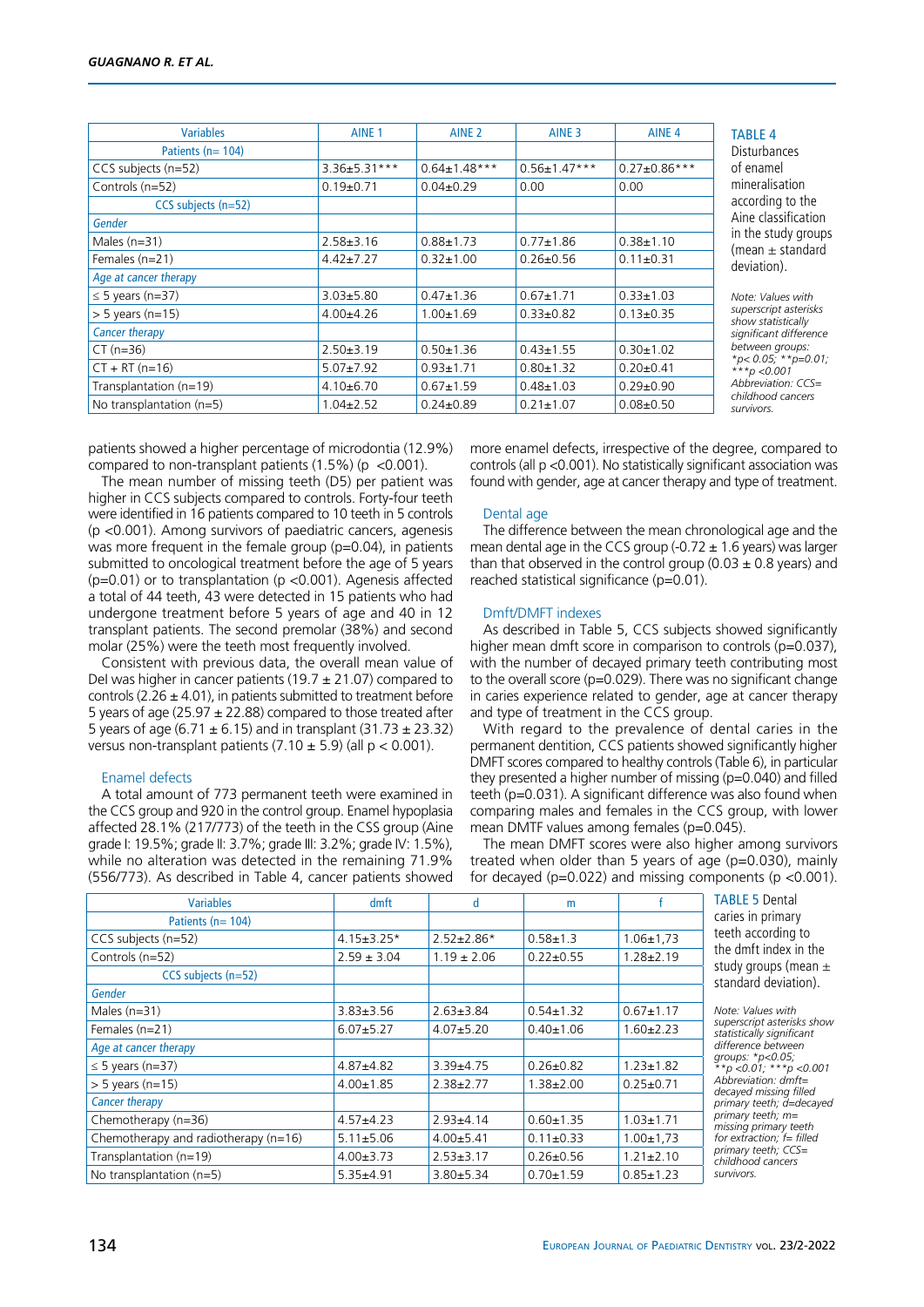| <b>Variables</b>           | AINE <sub>1</sub>  | AINE <sub>2</sub>  | AINE <sub>3</sub>  | AINE <sub>4</sub>   |
|----------------------------|--------------------|--------------------|--------------------|---------------------|
| Patients ( $n = 104$ )     |                    |                    |                    |                     |
| CCS subjects (n=52)        | $3.36 \pm 5.31***$ | $0.64 \pm 1.48***$ | $0.56 \pm 1.47***$ | $0.27 \pm 0.86$ *** |
| Controls (n=52)            | $0.19+0.71$        | $0.04\pm0.29$      | 0.00               | 0.00                |
| CCS subjects (n=52)        |                    |                    |                    |                     |
| Gender                     |                    |                    |                    |                     |
| Males $(n=31)$             | $2.58 \pm 3.16$    | $0.88 + 1.73$      | $0.77 + 1.86$      | $0.38 + 1.10$       |
| Females (n=21)             | $4.42 \pm 7.27$    | $0.32 + 1.00$      | $0.26 + 0.56$      | $0.11 \pm 0.31$     |
| Age at cancer therapy      |                    |                    |                    |                     |
| $\leq$ 5 years (n=37)      | $3.03 + 5.80$      | $0.47 \pm 1.36$    | $0.67 + 1.71$      | $0.33 + 1.03$       |
| $>$ 5 years (n=15)         | $4.00 + 4.26$      | $1.00 \pm 1.69$    | $0.33 \pm 0.82$    | $0.13 \pm 0.35$     |
| <b>Cancer therapy</b>      |                    |                    |                    |                     |
| $CT (n=36)$                | $2.50 \pm 3.19$    | $0.50 \pm 1.36$    | $0.43 \pm 1.55$    | $0.30 + 1.02$       |
| $CT + RT (n=16)$           | $5.07 \pm 7.92$    | $0.93 + 1.71$      | $0.80 + 1.32$      | $0.20 \pm 0.41$     |
| Transplantation (n=19)     | $4.10\pm 6.70$     | $0.67 + 1.59$      | $0.48 + 1.03$      | $0.29 \pm 0.90$     |
| No transplantation $(n=5)$ | $1.04 \pm 2.52$    | $0.24 \pm 0.89$    | $0.21 \pm 1.07$    | $0.08 \pm 0.50$     |

TABLE 4

**Disturbances** of enamel mineralisation according to the Aine classification in the study groups (mean  $\pm$  standard deviation).

*Note: Values with superscript asterisks show statistically significant difference between groups: \*p< 0.05; \*\*p=0.01; \*\*\*p <0.001 Abbreviation: CCS= childhood cancers survivors.*

patients showed a higher percentage of microdontia (12.9%) compared to non-transplant patients  $(1.5\%)$  (p <0.001).

The mean number of missing teeth (D5) per patient was higher in CCS subjects compared to controls. Forty-four teeth were identified in 16 patients compared to 10 teeth in 5 controls (p <0.001). Among survivors of paediatric cancers, agenesis was more frequent in the female group (p=0.04), in patients submitted to oncological treatment before the age of 5 years  $(p=0.01)$  or to transplantation ( $p < 0.001$ ). Agenesis affected a total of 44 teeth, 43 were detected in 15 patients who had undergone treatment before 5 years of age and 40 in 12 transplant patients. The second premolar (38%) and second molar (25%) were the teeth most frequently involved.

Consistent with previous data, the overall mean value of Del was higher in cancer patients (19.7  $\pm$  21.07) compared to controls (2.26  $\pm$  4.01), in patients submitted to treatment before 5 years of age (25.97  $\pm$  22.88) compared to those treated after 5 years of age (6.71  $\pm$  6.15) and in transplant (31.73  $\pm$  23.32) versus non-transplant patients  $(7.10 \pm 5.9)$  (all  $p < 0.001$ ).

## Enamel defects

A total amount of 773 permanent teeth were examined in the CCS group and 920 in the control group. Enamel hypoplasia affected 28.1% (217/773) of the teeth in the CSS group (Aine grade I: 19.5%; grade II: 3.7%; grade III: 3.2%; grade IV: 1.5%), while no alteration was detected in the remaining 71.9% (556/773). As described in Table 4, cancer patients showed more enamel defects, irrespective of the degree, compared to controls (all p <0.001). No statistically significant association was found with gender, age at cancer therapy and type of treatment.

#### Dental age

The difference between the mean chronological age and the mean dental age in the CCS group (-0.72  $\pm$  1.6 years) was larger than that observed in the control group  $(0.03 \pm 0.8 \,\text{years})$  and reached statistical significance (p=0.01).

#### Dmft/DMFT indexes

As described in Table 5, CCS subjects showed significantly higher mean dmft score in comparison to controls (p=0.037), with the number of decayed primary teeth contributing most to the overall score (p=0.029). There was no significant change in caries experience related to gender, age at cancer therapy and type of treatment in the CCS group.

With regard to the prevalence of dental caries in the permanent dentition, CCS patients showed significantly higher DMFT scores compared to healthy controls (Table 6), in particular they presented a higher number of missing (p=0.040) and filled teeth (p=0.031). A significant difference was also found when comparing males and females in the CCS group, with lower mean DMTF values among females (p=0.045).

The mean DMFT scores were also higher among survivors treated when older than 5 years of age (p=0.030), mainly for decayed ( $p=0.022$ ) and missing components ( $p < 0.001$ ).

| <b>Variables</b>                     | dmft             | d                | m               |                 | <b>TABLE 5 Dental</b>                                   |
|--------------------------------------|------------------|------------------|-----------------|-----------------|---------------------------------------------------------|
| Patients ( $n = 104$ )               |                  |                  |                 |                 | caries in primary                                       |
| CCS subjects (n=52)                  | $4.15 \pm 3.25*$ | $2.52 \pm 2.86*$ | $0.58 + 1.3$    | $1.06 \pm 1.73$ | teeth according to                                      |
| Controls (n=52)                      | $2.59 \pm 3.04$  | $1.19 \pm 2.06$  | $0.22 \pm 0.55$ | $1.28 \pm 2.19$ | the dmft index in the                                   |
| CCS subjects (n=52)                  |                  |                  |                 |                 | study groups (mean $\pm$<br>standard deviation).        |
| Gender                               |                  |                  |                 |                 |                                                         |
| Males $(n=31)$                       | $3.83 \pm 3.56$  | $2.63 \pm 3.84$  | $0.54 \pm 1.32$ | $0.67 \pm 1.17$ | Note: Values with                                       |
| Females (n=21)                       | $6.07 + 5.27$    | $4.07 + 5.20$    | $0.40 \pm 1.06$ | $1.60 \pm 2.23$ | superscript asterisks show<br>statistically significant |
| Age at cancer therapy                |                  |                  |                 |                 | difference between                                      |
| $\leq$ 5 years (n=37)                | $4.87 + 4.82$    | $3.39 + 4.75$    | $0.26 \pm 0.82$ | $1.23 \pm 1.82$ | qroups: $*_{p<0.05}$ ;<br>**p <0.01; ***p <0.001        |
| $> 5$ years (n=15)                   | $4.00 \pm 1.85$  | $2.38 \pm 2.77$  | $1.38 \pm 2.00$ | $0.25 \pm 0.71$ | Abbreviation: dmft=<br>decayed missing filled           |
| <b>Cancer therapy</b>                |                  |                  |                 |                 | primary teeth; d=decayed                                |
| Chemotherapy (n=36)                  | $4.57 + 4.23$    | $2.93 + 4.14$    | $0.60 + 1.35$   | $1.03 \pm 1.71$ | primary teeth; $m=$<br>missing primary teeth            |
| Chemotherapy and radiotherapy (n=16) | $5.11 \pm 5.06$  | $4.00 + 5.41$    | $0.11 \pm 0.33$ | $1.00 \pm 1.73$ | for extraction; $f = filled$                            |
| Transplantation (n=19)               | $4.00 \pm 3.73$  | $2.53 \pm 3.17$  | $0.26 \pm 0.56$ | $1.21 \pm 2.10$ | primary teeth; CCS=<br>childhood cancers                |
| No transplantation (n=5)             | $5.35 + 4.91$    | $3.80 + 5.34$    | $0.70 \pm 1.59$ | $0.85 \pm 1.23$ | survivors.                                              |
|                                      |                  |                  |                 |                 |                                                         |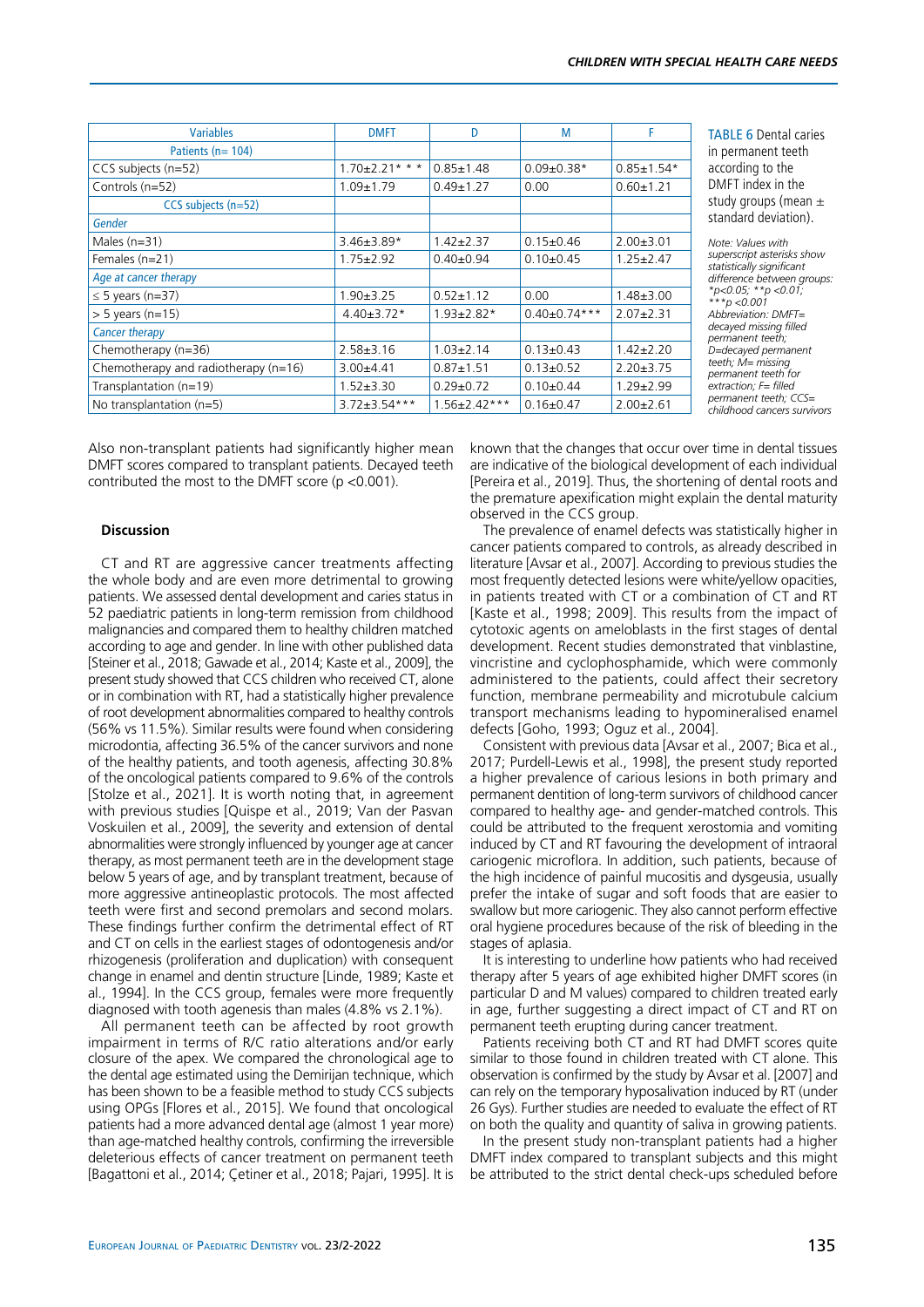| <b>Variables</b>                     | <b>DMFT</b>           | D                  | M                  | F                |
|--------------------------------------|-----------------------|--------------------|--------------------|------------------|
| Patients ( $n = 104$ )               |                       |                    |                    |                  |
| CCS subjects (n=52)                  | $1.70 \pm 2.21$ * * * | $0.85 \pm 1.48$    | $0.09 \pm 0.38*$   | $0.85 \pm 1.54*$ |
| Controls (n=52)                      | $1.09 + 1.79$         | $0.49 \pm 1.27$    | 0.00               | $0.60 + 1.21$    |
| CCS subjects (n=52)                  |                       |                    |                    |                  |
| Gender                               |                       |                    |                    |                  |
| Males $(n=31)$                       | $3.46 \pm 3.89*$      | $1.42 \pm 2.37$    | $0.15 \pm 0.46$    | $2.00 + 3.01$    |
| Females (n=21)                       | $1.75 \pm 2.92$       | $0.40 \pm 0.94$    | $0.10 \pm 0.45$    | $1.25 \pm 2.47$  |
| Age at cancer therapy                |                       |                    |                    |                  |
| $\leq$ 5 years (n=37)                | $1.90 \pm 3.25$       | $0.52 \pm 1.12$    | 0.00               | $1.48 \pm 3.00$  |
| $> 5$ years (n=15)                   | $4.40 \pm 3.72*$      | $1.93 \pm 2.82*$   | $0.40 \pm 0.74***$ | $2.07 + 2.31$    |
| <b>Cancer therapy</b>                |                       |                    |                    |                  |
| Chemotherapy (n=36)                  | $2.58 \pm 3.16$       | $1.03 \pm 2.14$    | $0.13 \pm 0.43$    | $1.42 \pm 2.20$  |
| Chemotherapy and radiotherapy (n=16) | $3.00 + 4.41$         | $0.87 + 1.51$      | $0.13 \pm 0.52$    | $2.20 \pm 3.75$  |
| Transplantation (n=19)               | $1.52 + 3.30$         | $0.29 + 0.72$      | $0.10+0.44$        | $1.29 + 2.99$    |
| No transplantation $(n=5)$           | $3.72 \pm 3.54$ ***   | $1.56 \pm 2.42***$ | $0.16 \pm 0.47$    | $2.00 \pm 2.61$  |

**ABLE 6 Dental caries** permanent teeth ccordina to the MFT index in the udy groups (mean  $\pm$ andard deviation).

*Note: Values with superscript asterisks show statistically significant difference between groups: \*p<0.05; \*\*p <0.01; \*\*\*p <0.001 Abbreviation: DMFT= decayed missing filled permanent teeth; D=decayed permanent teeth; M= missing permanent teeth for extraction; F= filled permanent teeth; CCS= childhood cancers survivors*

Also non-transplant patients had significantly higher mean DMFT scores compared to transplant patients. Decayed teeth contributed the most to the DMFT score (p <0.001).

## **Discussion**

CT and RT are aggressive cancer treatments affecting the whole body and are even more detrimental to growing patients. We assessed dental development and caries status in 52 paediatric patients in long-term remission from childhood malignancies and compared them to healthy children matched according to age and gender. In line with other published data [Steiner et al., 2018; Gawade et al., 2014; Kaste et al., 2009], the present study showed that CCS children who received CT, alone or in combination with RT, had a statistically higher prevalence of root development abnormalities compared to healthy controls (56% vs 11.5%). Similar results were found when considering microdontia, affecting 36.5% of the cancer survivors and none of the healthy patients, and tooth agenesis, affecting 30.8% of the oncological patients compared to 9.6% of the controls [Stolze et al., 2021]. It is worth noting that, in agreement with previous studies [Quispe et al., 2019; Van der Pasvan Voskuilen et al., 2009], the severity and extension of dental abnormalities were strongly influenced by younger age at cancer therapy, as most permanent teeth are in the development stage below 5 years of age, and by transplant treatment, because of more aggressive antineoplastic protocols. The most affected teeth were first and second premolars and second molars. These findings further confirm the detrimental effect of RT and CT on cells in the earliest stages of odontogenesis and/or rhizogenesis (proliferation and duplication) with consequent change in enamel and dentin structure [Linde, 1989; Kaste et al., 1994]. In the CCS group, females were more frequently diagnosed with tooth agenesis than males (4.8% vs 2.1%).

All permanent teeth can be affected by root growth impairment in terms of R/C ratio alterations and/or early closure of the apex. We compared the chronological age to the dental age estimated using the Demirijan technique, which has been shown to be a feasible method to study CCS subjects using OPGs [Flores et al., 2015]. We found that oncological patients had a more advanced dental age (almost 1 year more) than age-matched healthy controls, confirming the irreversible deleterious effects of cancer treatment on permanent teeth [Bagattoni et al., 2014; Çetiner et al., 2018; Pajari, 1995]. It is known that the changes that occur over time in dental tissues are indicative of the biological development of each individual [Pereira et al., 2019]. Thus, the shortening of dental roots and the premature apexification might explain the dental maturity observed in the CCS group.

The prevalence of enamel defects was statistically higher in cancer patients compared to controls, as already described in literature [Avsar et al., 2007]. According to previous studies the most frequently detected lesions were white/yellow opacities, in patients treated with CT or a combination of CT and RT [Kaste et al., 1998; 2009]. This results from the impact of cytotoxic agents on ameloblasts in the first stages of dental development. Recent studies demonstrated that vinblastine, vincristine and cyclophosphamide, which were commonly administered to the patients, could affect their secretory function, membrane permeability and microtubule calcium transport mechanisms leading to hypomineralised enamel defects [Goho, 1993; Oguz et al., 2004].

Consistent with previous data [Avsar et al., 2007; Bica et al., 2017; Purdell-Lewis et al., 1998], the present study reported a higher prevalence of carious lesions in both primary and permanent dentition of long-term survivors of childhood cancer compared to healthy age- and gender-matched controls. This could be attributed to the frequent xerostomia and vomiting induced by CT and RT favouring the development of intraoral cariogenic microflora. In addition, such patients, because of the high incidence of painful mucositis and dysgeusia, usually prefer the intake of sugar and soft foods that are easier to swallow but more cariogenic. They also cannot perform effective oral hygiene procedures because of the risk of bleeding in the stages of aplasia.

It is interesting to underline how patients who had received therapy after 5 years of age exhibited higher DMFT scores (in particular D and M values) compared to children treated early in age, further suggesting a direct impact of CT and RT on permanent teeth erupting during cancer treatment.

Patients receiving both CT and RT had DMFT scores quite similar to those found in children treated with CT alone. This observation is confirmed by the study by Avsar et al. [2007] and can rely on the temporary hyposalivation induced by RT (under 26 Gys). Further studies are needed to evaluate the effect of RT on both the quality and quantity of saliva in growing patients.

In the present study non-transplant patients had a higher DMFT index compared to transplant subjects and this might be attributed to the strict dental check-ups scheduled before